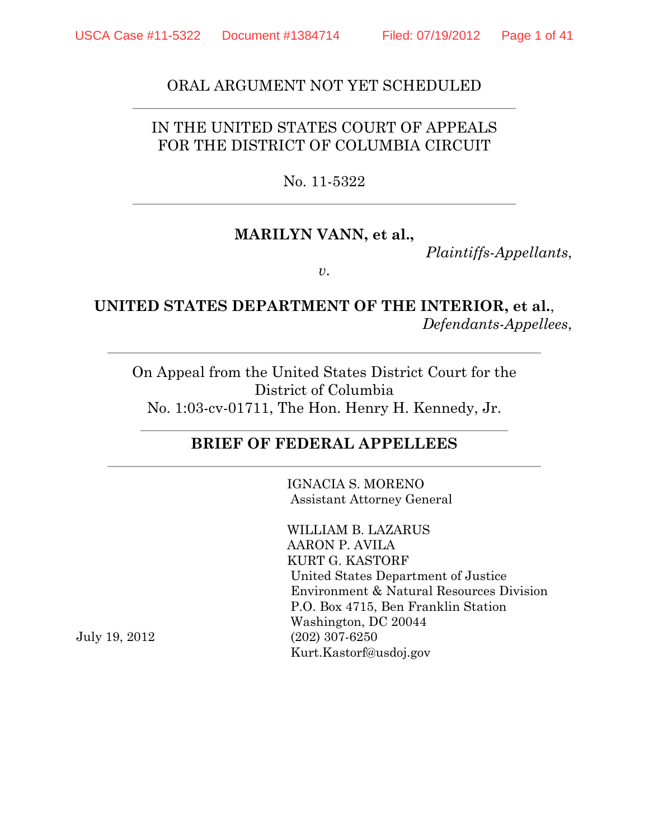#### ORAL ARGUMENT NOT YET SCHEDULED

## IN THE UNITED STATES COURT OF APPEALS FOR THE DISTRICT OF COLUMBIA CIRCUIT

#### No. 11-5322

#### **MARILYN VANN, et al.,**

*Plaintiffs-Appellants*,

*v*.

#### **UNITED STATES DEPARTMENT OF THE INTERIOR, et al.**, *Defendants-Appellees*,

On Appeal from the United States District Court for the District of Columbia No. 1:03-cv-01711, The Hon. Henry H. Kennedy, Jr.

#### **BRIEF OF FEDERAL APPELLEES**

IGNACIA S. MORENO Assistant Attorney General

WILLIAM B. LAZARUS AARON P. AVILA KURT G. KASTORF United States Department of Justice Environment & Natural Resources Division P.O. Box 4715, Ben Franklin Station Washington, DC 20044 (202) 307-6250 Kurt.Kastorf@usdoj.gov

July 19, 2012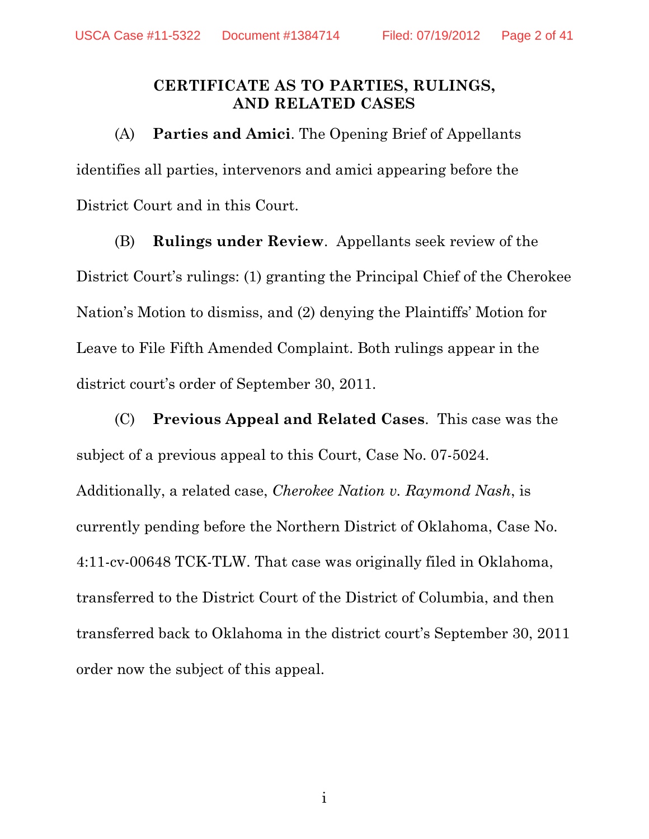### **CERTIFICATE AS TO PARTIES, RULINGS, AND RELATED CASES**

(A) **Parties and Amici**. The Opening Brief of Appellants identifies all parties, intervenors and amici appearing before the District Court and in this Court.

(B) **Rulings under Review**. Appellants seek review of the District Court's rulings: (1) granting the Principal Chief of the Cherokee Nation's Motion to dismiss, and (2) denying the Plaintiffs' Motion for Leave to File Fifth Amended Complaint. Both rulings appear in the district court's order of September 30, 2011.

(C) **Previous Appeal and Related Cases**. This case was the subject of a previous appeal to this Court, Case No. 07-5024. Additionally, a related case, *Cherokee Nation v. Raymond Nash*, is currently pending before the Northern District of Oklahoma, Case No. 4:11-cv-00648 TCK-TLW. That case was originally filed in Oklahoma, transferred to the District Court of the District of Columbia, and then transferred back to Oklahoma in the district court's September 30, 2011 order now the subject of this appeal.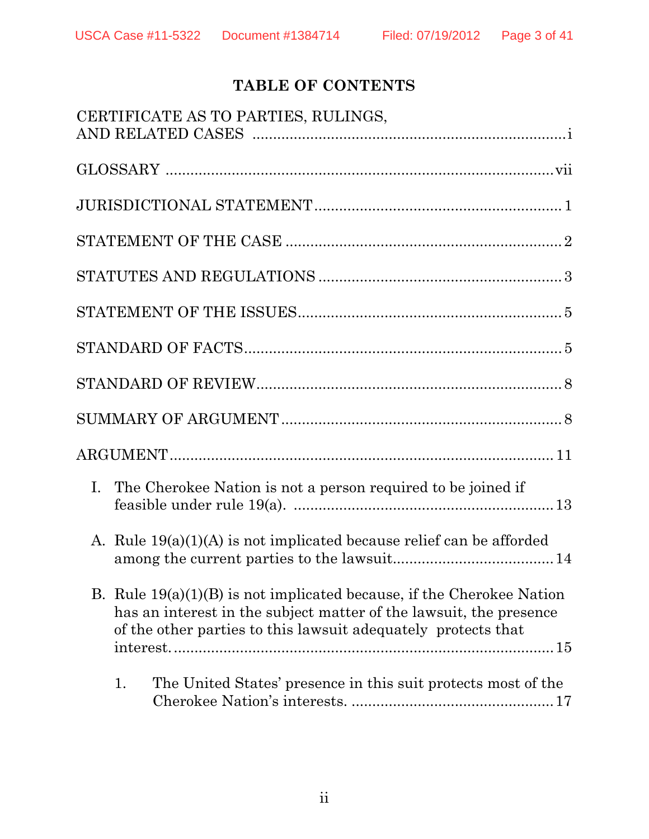# **TABLE OF CONTENTS**

| CERTIFICATE AS TO PARTIES, RULINGS,                                                                                                                                                                            |
|----------------------------------------------------------------------------------------------------------------------------------------------------------------------------------------------------------------|
|                                                                                                                                                                                                                |
|                                                                                                                                                                                                                |
|                                                                                                                                                                                                                |
|                                                                                                                                                                                                                |
|                                                                                                                                                                                                                |
|                                                                                                                                                                                                                |
|                                                                                                                                                                                                                |
|                                                                                                                                                                                                                |
|                                                                                                                                                                                                                |
| I.<br>The Cherokee Nation is not a person required to be joined if                                                                                                                                             |
| A. Rule $19(a)(1)(A)$ is not implicated because relief can be afforded                                                                                                                                         |
| B. Rule $19(a)(1)(B)$ is not implicated because, if the Cherokee Nation<br>has an interest in the subject matter of the lawsuit, the presence<br>of the other parties to this lawsuit adequately protects that |
| The United States' presence in this suit protects most of the<br>1.                                                                                                                                            |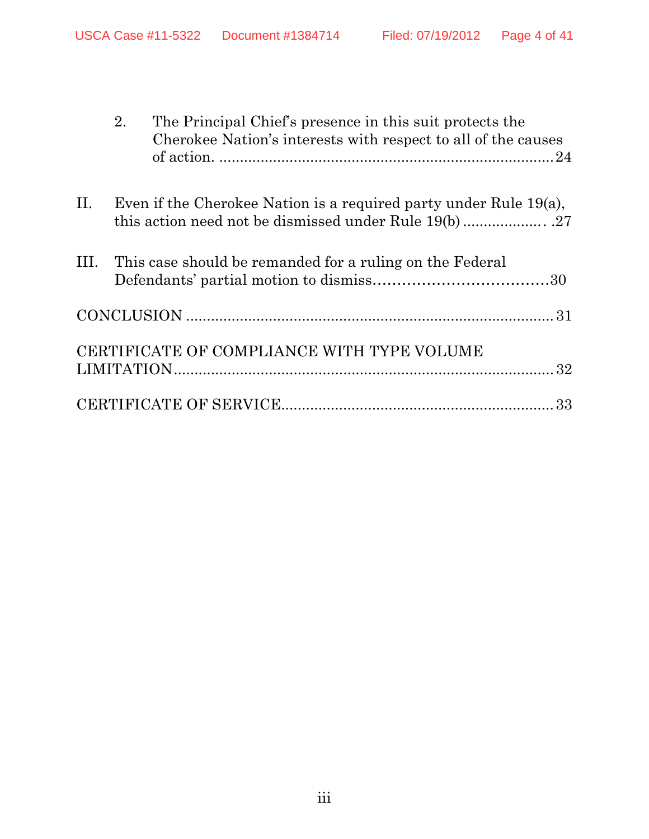|     | 2.<br>The Principal Chief's presence in this suit protects the<br>Cherokee Nation's interests with respect to all of the causes |
|-----|---------------------------------------------------------------------------------------------------------------------------------|
| II. | Even if the Cherokee Nation is a required party under Rule $19(a)$ ,                                                            |
| Ш.  | This case should be remanded for a ruling on the Federal                                                                        |
|     |                                                                                                                                 |
|     | CERTIFICATE OF COMPLIANCE WITH TYPE VOLUME                                                                                      |
|     |                                                                                                                                 |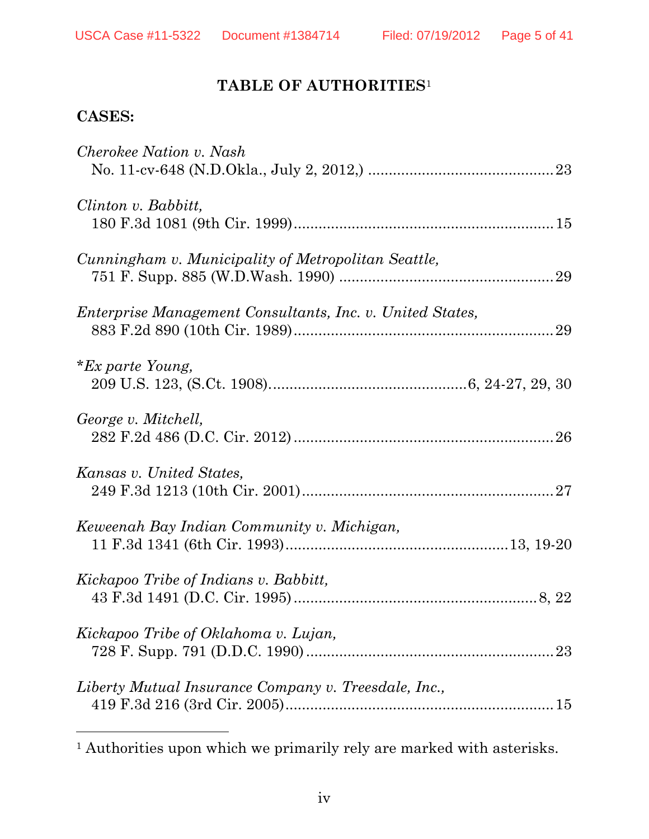## **TABLE OF AUTHORITIES**<sup>1</sup>

## **CASES:**

| Cherokee Nation v. Nash                                   |
|-----------------------------------------------------------|
| Clinton v. Babbitt,                                       |
| Cunningham v. Municipality of Metropolitan Seattle,       |
| Enterprise Management Consultants, Inc. v. United States, |
| <i>*Ex parte Young,</i>                                   |
| George v. Mitchell,                                       |
| Kansas v. United States,                                  |
| Keweenah Bay Indian Community v. Michigan,                |
| Kickapoo Tribe of Indians v. Babbitt,                     |
| Kickapoo Tribe of Oklahoma v. Lujan,                      |
| Liberty Mutual Insurance Company v. Treesdale, Inc.,      |
|                                                           |

<sup>1</sup> Authorities upon which we primarily rely are marked with asterisks.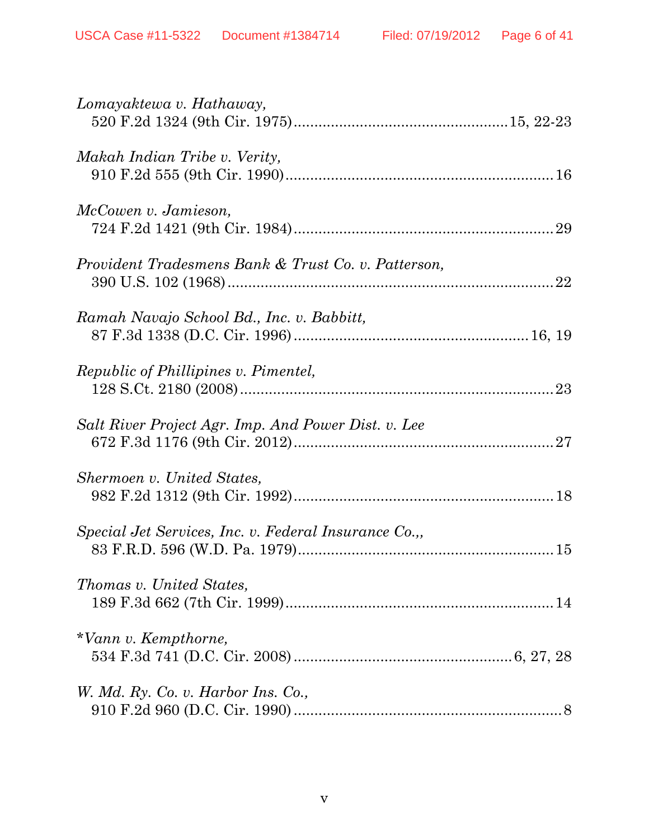| Lomayaktewa v. Hathaway,                             |
|------------------------------------------------------|
| Makah Indian Tribe v. Verity,                        |
| McCowen v. Jamieson,                                 |
| Provident Tradesmens Bank & Trust Co. v. Patterson,  |
| Ramah Navajo School Bd., Inc. v. Babbitt,            |
| <i>Republic of Phillipines v. Pimentel,</i>          |
| Salt River Project Agr. Imp. And Power Dist. v. Lee  |
| Shermoen v. United States,                           |
| Special Jet Services, Inc. v. Federal Insurance Co., |
| <i>Thomas v. United States,</i>                      |
| *Vann v. Kempthorne,                                 |
| W. Md. Ry. Co. v. Harbor Ins. Co.,                   |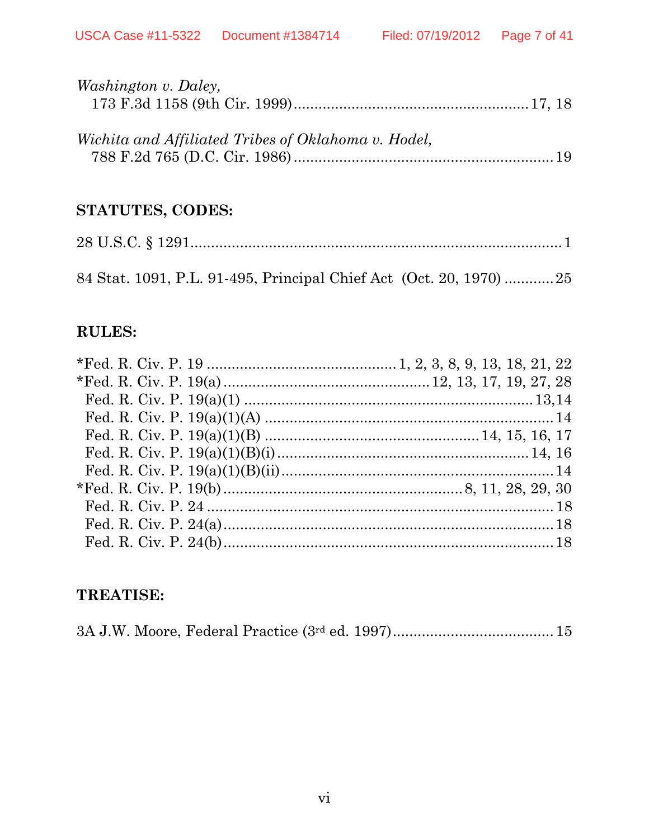| <i>Washington v. Daley,</i>                         |  |
|-----------------------------------------------------|--|
|                                                     |  |
|                                                     |  |
| Wichita and Affiliated Tribes of Oklahoma v. Hodel, |  |
|                                                     |  |

## STATUTES, CODES:

## **RULES:**

## **TREATISE:**

|--|--|--|--|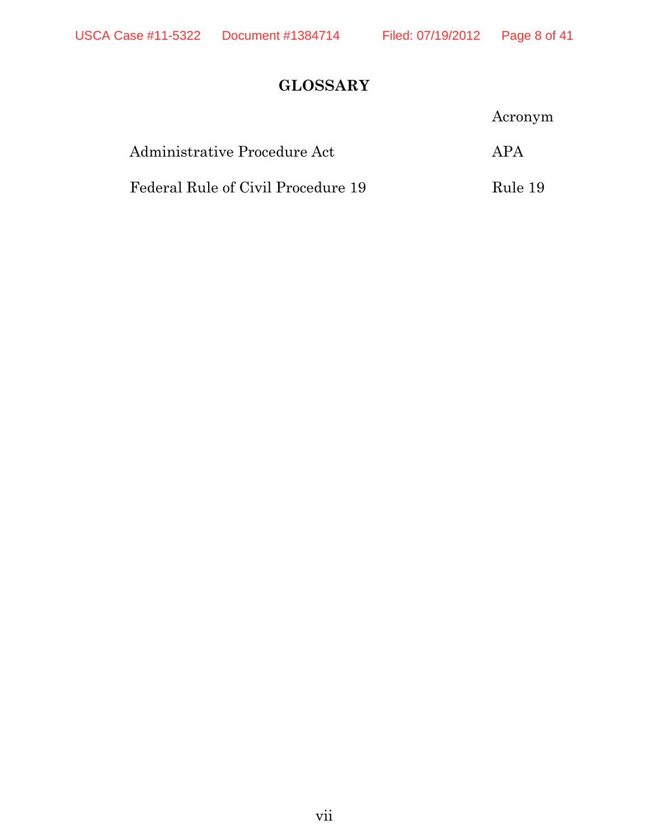# **GLOSSARY**

|                                    | Acronym |
|------------------------------------|---------|
| Administrative Procedure Act       | APA     |
| Federal Rule of Civil Procedure 19 | Rule 19 |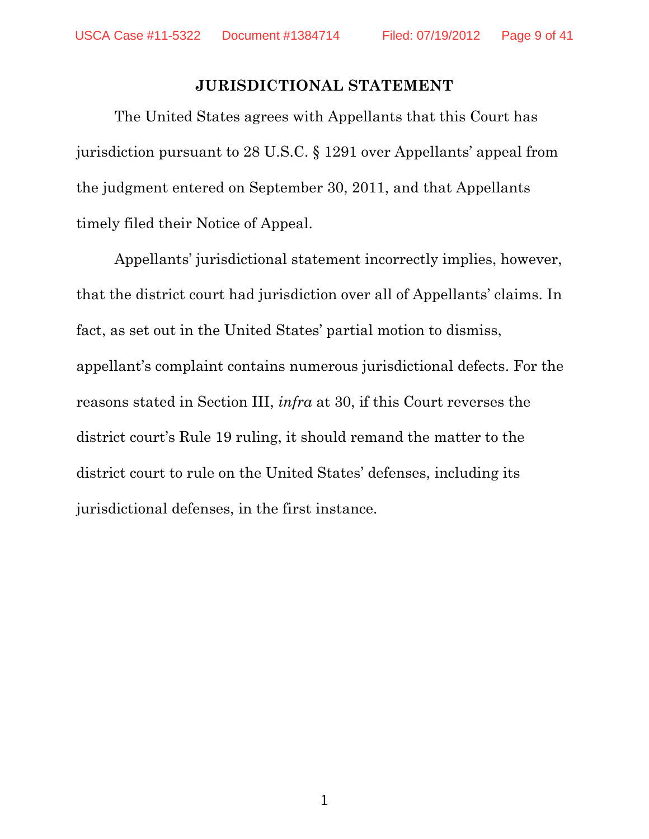#### **JURISDICTIONAL STATEMENT**

The United States agrees with Appellants that this Court has jurisdiction pursuant to 28 U.S.C. § 1291 over Appellants' appeal from the judgment entered on September 30, 2011, and that Appellants timely filed their Notice of Appeal.

Appellants' jurisdictional statement incorrectly implies, however, that the district court had jurisdiction over all of Appellants' claims. In fact, as set out in the United States' partial motion to dismiss, appellant's complaint contains numerous jurisdictional defects. For the reasons stated in Section III, *infra* at 30, if this Court reverses the district court's Rule 19 ruling, it should remand the matter to the district court to rule on the United States' defenses, including its jurisdictional defenses, in the first instance.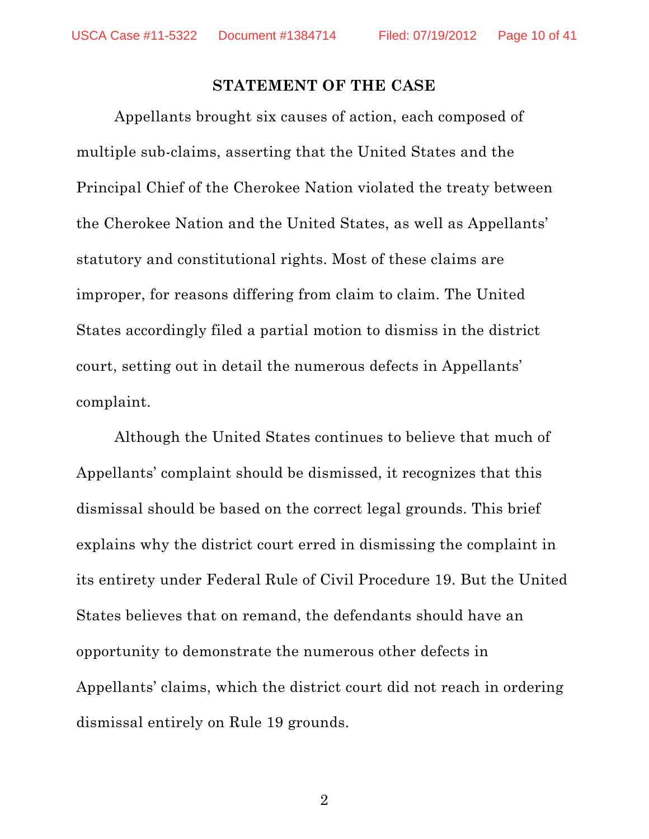### **STATEMENT OF THE CASE**

Appellants brought six causes of action, each composed of multiple sub-claims, asserting that the United States and the Principal Chief of the Cherokee Nation violated the treaty between the Cherokee Nation and the United States, as well as Appellants' statutory and constitutional rights. Most of these claims are improper, for reasons differing from claim to claim. The United States accordingly filed a partial motion to dismiss in the district court, setting out in detail the numerous defects in Appellants' complaint.

 Although the United States continues to believe that much of Appellants' complaint should be dismissed, it recognizes that this dismissal should be based on the correct legal grounds. This brief explains why the district court erred in dismissing the complaint in its entirety under Federal Rule of Civil Procedure 19. But the United States believes that on remand, the defendants should have an opportunity to demonstrate the numerous other defects in Appellants' claims, which the district court did not reach in ordering dismissal entirely on Rule 19 grounds.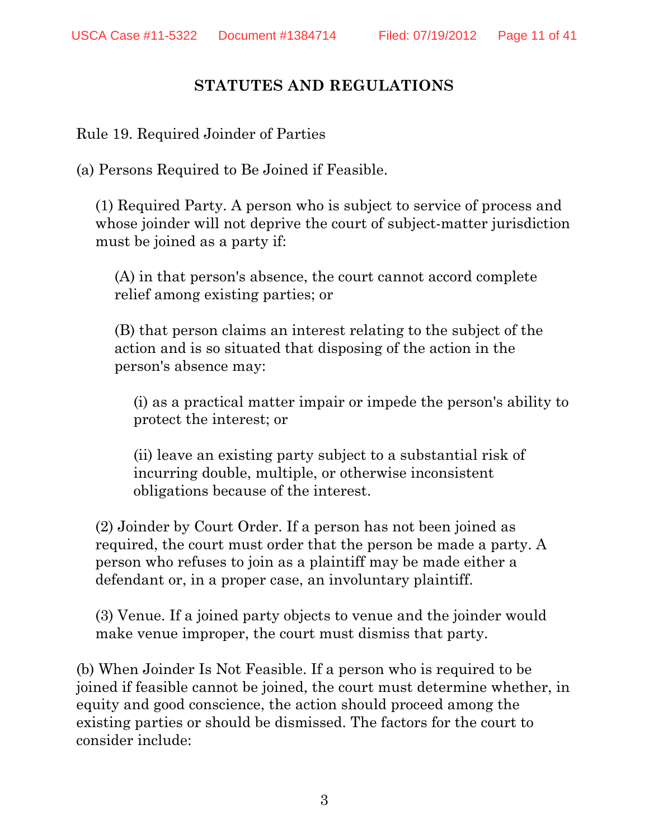## **STATUTES AND REGULATIONS**

Rule 19. Required Joinder of Parties

(a) Persons Required to Be Joined if Feasible.

(1) Required Party. A person who is subject to service of process and whose joinder will not deprive the court of subject-matter jurisdiction must be joined as a party if:

(A) in that person's absence, the court cannot accord complete relief among existing parties; or

(B) that person claims an interest relating to the subject of the action and is so situated that disposing of the action in the person's absence may:

(i) as a practical matter impair or impede the person's ability to protect the interest; or

(ii) leave an existing party subject to a substantial risk of incurring double, multiple, or otherwise inconsistent obligations because of the interest.

(2) Joinder by Court Order. If a person has not been joined as required, the court must order that the person be made a party. A person who refuses to join as a plaintiff may be made either a defendant or, in a proper case, an involuntary plaintiff.

(3) Venue. If a joined party objects to venue and the joinder would make venue improper, the court must dismiss that party.

(b) When Joinder Is Not Feasible. If a person who is required to be joined if feasible cannot be joined, the court must determine whether, in equity and good conscience, the action should proceed among the existing parties or should be dismissed. The factors for the court to consider include: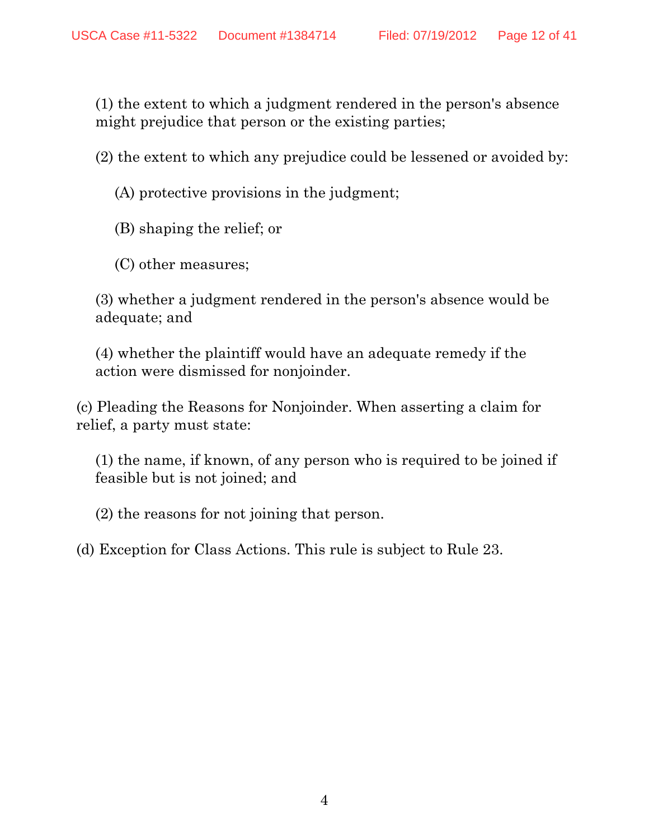(1) the extent to which a judgment rendered in the person's absence might prejudice that person or the existing parties;

(2) the extent to which any prejudice could be lessened or avoided by:

- (A) protective provisions in the judgment;
- (B) shaping the relief; or
- (C) other measures;

(3) whether a judgment rendered in the person's absence would be adequate; and

(4) whether the plaintiff would have an adequate remedy if the action were dismissed for nonjoinder.

(c) Pleading the Reasons for Nonjoinder. When asserting a claim for relief, a party must state:

(1) the name, if known, of any person who is required to be joined if feasible but is not joined; and

(2) the reasons for not joining that person.

(d) Exception for Class Actions. This rule is subject to Rule 23.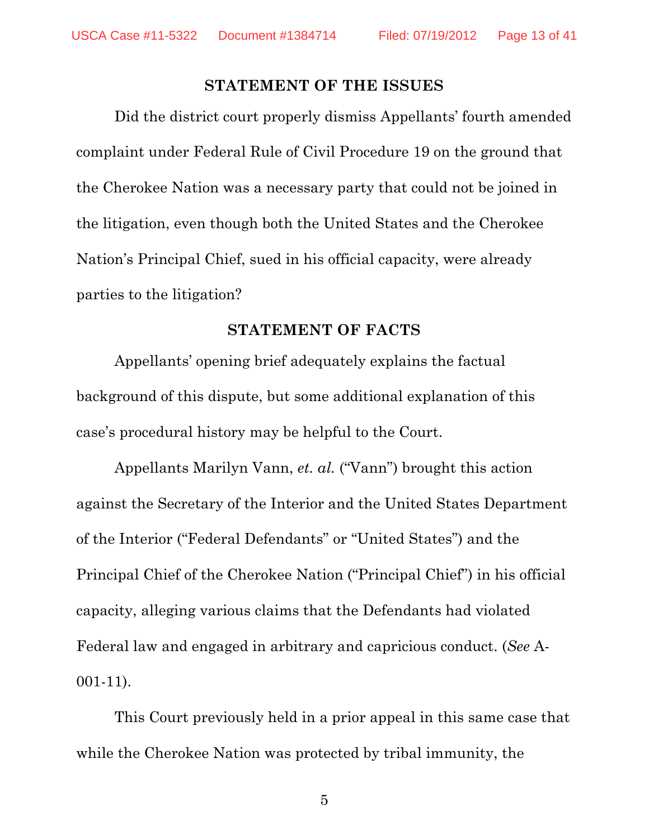#### **STATEMENT OF THE ISSUES**

 Did the district court properly dismiss Appellants' fourth amended complaint under Federal Rule of Civil Procedure 19 on the ground that the Cherokee Nation was a necessary party that could not be joined in the litigation, even though both the United States and the Cherokee Nation's Principal Chief, sued in his official capacity, were already parties to the litigation?

#### **STATEMENT OF FACTS**

Appellants' opening brief adequately explains the factual background of this dispute, but some additional explanation of this case's procedural history may be helpful to the Court.

Appellants Marilyn Vann, *et. al.* ("Vann") brought this action against the Secretary of the Interior and the United States Department of the Interior ("Federal Defendants" or "United States") and the Principal Chief of the Cherokee Nation ("Principal Chief") in his official capacity, alleging various claims that the Defendants had violated Federal law and engaged in arbitrary and capricious conduct. (*See* A-001-11).

This Court previously held in a prior appeal in this same case that while the Cherokee Nation was protected by tribal immunity, the

 $\sim$  5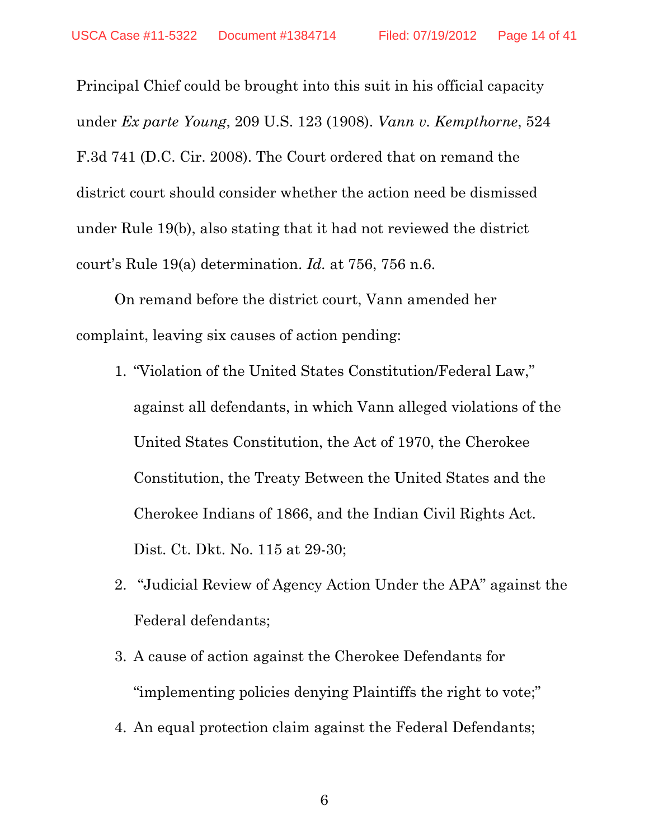Principal Chief could be brought into this suit in his official capacity under *Ex parte Young*, 209 U.S. 123 (1908). *Vann v. Kempthorne*, 524 F.3d 741 (D.C. Cir. 2008). The Court ordered that on remand the district court should consider whether the action need be dismissed under Rule 19(b), also stating that it had not reviewed the district court's Rule 19(a) determination. *Id.* at 756, 756 n.6.

On remand before the district court, Vann amended her complaint, leaving six causes of action pending:

- 1. "Violation of the United States Constitution/Federal Law," against all defendants, in which Vann alleged violations of the United States Constitution, the Act of 1970, the Cherokee Constitution, the Treaty Between the United States and the Cherokee Indians of 1866, and the Indian Civil Rights Act. Dist. Ct. Dkt. No. 115 at 29-30;
- 2. "Judicial Review of Agency Action Under the APA" against the Federal defendants;
- 3. A cause of action against the Cherokee Defendants for "implementing policies denying Plaintiffs the right to vote;"
- 4. An equal protection claim against the Federal Defendants;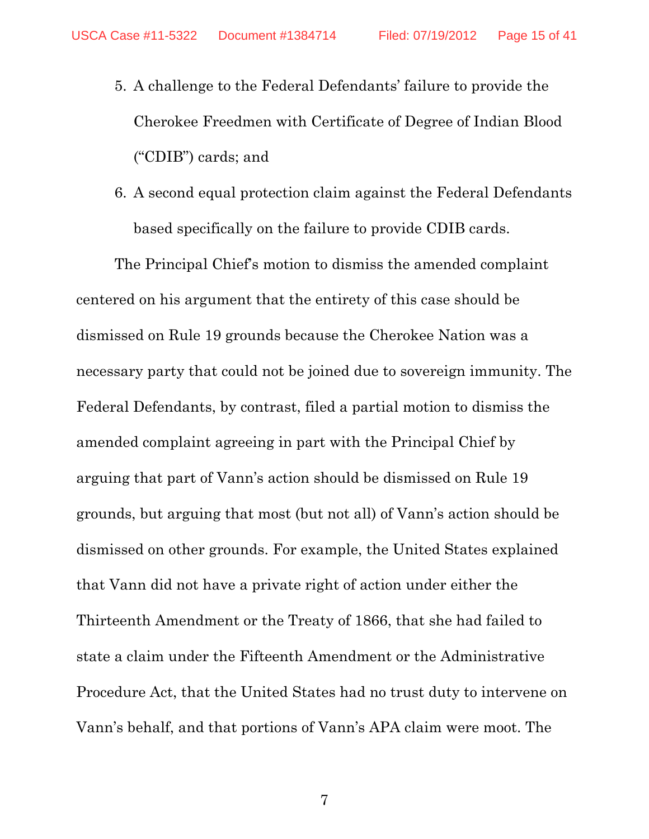- 5. A challenge to the Federal Defendants' failure to provide the Cherokee Freedmen with Certificate of Degree of Indian Blood ("CDIB") cards; and
- 6. A second equal protection claim against the Federal Defendants based specifically on the failure to provide CDIB cards.

The Principal Chief's motion to dismiss the amended complaint centered on his argument that the entirety of this case should be dismissed on Rule 19 grounds because the Cherokee Nation was a necessary party that could not be joined due to sovereign immunity. The Federal Defendants, by contrast, filed a partial motion to dismiss the amended complaint agreeing in part with the Principal Chief by arguing that part of Vann's action should be dismissed on Rule 19 grounds, but arguing that most (but not all) of Vann's action should be dismissed on other grounds. For example, the United States explained that Vann did not have a private right of action under either the Thirteenth Amendment or the Treaty of 1866, that she had failed to state a claim under the Fifteenth Amendment or the Administrative Procedure Act, that the United States had no trust duty to intervene on Vann's behalf, and that portions of Vann's APA claim were moot. The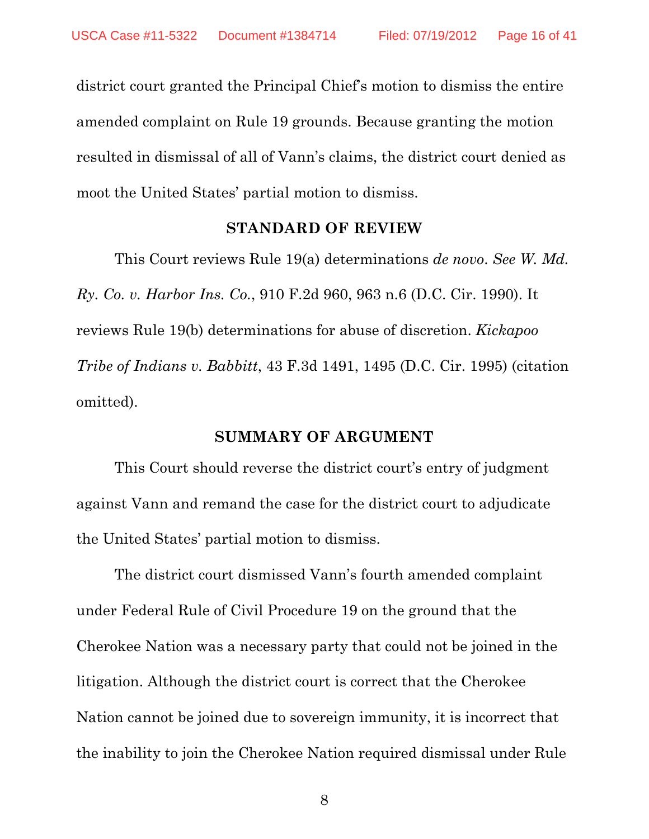district court granted the Principal Chief's motion to dismiss the entire amended complaint on Rule 19 grounds. Because granting the motion resulted in dismissal of all of Vann's claims, the district court denied as moot the United States' partial motion to dismiss.

#### **STANDARD OF REVIEW**

This Court reviews Rule 19(a) determinations *de novo*. *See W. Md. Ry. Co. v. Harbor Ins. Co.*, 910 F.2d 960, 963 n.6 (D.C. Cir. 1990). It reviews Rule 19(b) determinations for abuse of discretion. *Kickapoo Tribe of Indians v. Babbitt*, 43 F.3d 1491, 1495 (D.C. Cir. 1995) (citation omitted).

#### **SUMMARY OF ARGUMENT**

This Court should reverse the district court's entry of judgment against Vann and remand the case for the district court to adjudicate the United States' partial motion to dismiss.

The district court dismissed Vann's fourth amended complaint under Federal Rule of Civil Procedure 19 on the ground that the Cherokee Nation was a necessary party that could not be joined in the litigation. Although the district court is correct that the Cherokee Nation cannot be joined due to sovereign immunity, it is incorrect that the inability to join the Cherokee Nation required dismissal under Rule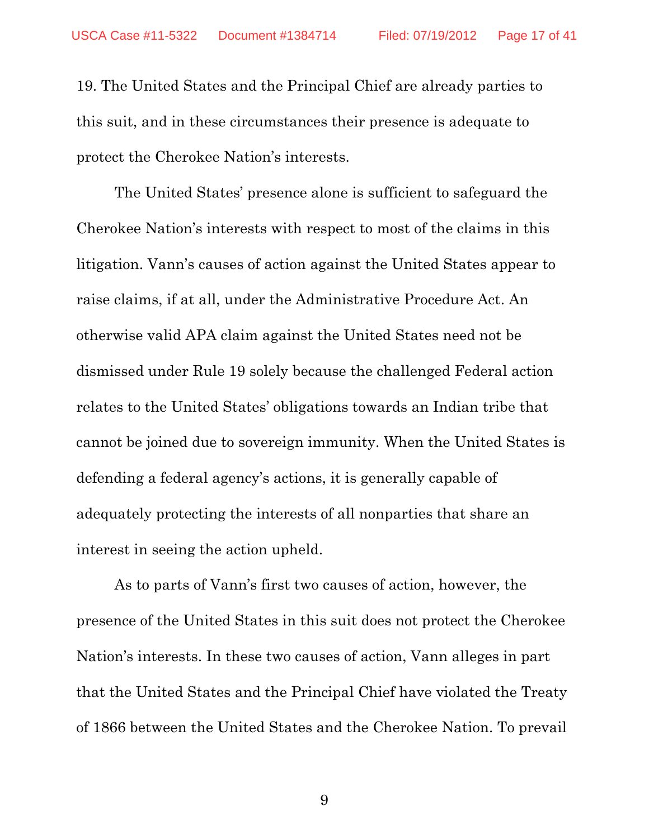19. The United States and the Principal Chief are already parties to this suit, and in these circumstances their presence is adequate to protect the Cherokee Nation's interests.

The United States' presence alone is sufficient to safeguard the Cherokee Nation's interests with respect to most of the claims in this litigation. Vann's causes of action against the United States appear to raise claims, if at all, under the Administrative Procedure Act. An otherwise valid APA claim against the United States need not be dismissed under Rule 19 solely because the challenged Federal action relates to the United States' obligations towards an Indian tribe that cannot be joined due to sovereign immunity. When the United States is defending a federal agency's actions, it is generally capable of adequately protecting the interests of all nonparties that share an interest in seeing the action upheld.

As to parts of Vann's first two causes of action, however, the presence of the United States in this suit does not protect the Cherokee Nation's interests. In these two causes of action, Vann alleges in part that the United States and the Principal Chief have violated the Treaty of 1866 between the United States and the Cherokee Nation. To prevail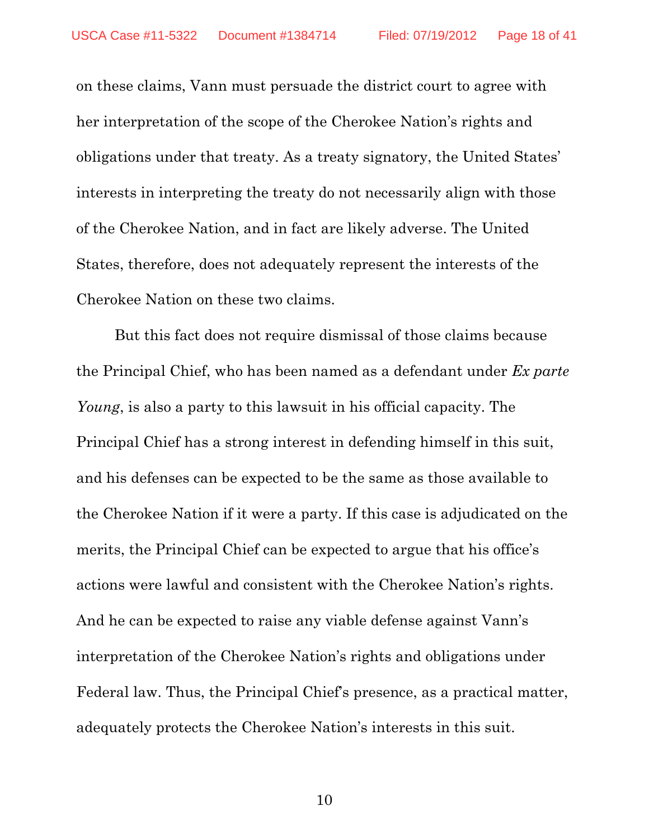on these claims, Vann must persuade the district court to agree with her interpretation of the scope of the Cherokee Nation's rights and obligations under that treaty. As a treaty signatory, the United States' interests in interpreting the treaty do not necessarily align with those of the Cherokee Nation, and in fact are likely adverse. The United States, therefore, does not adequately represent the interests of the Cherokee Nation on these two claims.

But this fact does not require dismissal of those claims because the Principal Chief, who has been named as a defendant under *Ex parte Young*, is also a party to this lawsuit in his official capacity. The Principal Chief has a strong interest in defending himself in this suit, and his defenses can be expected to be the same as those available to the Cherokee Nation if it were a party. If this case is adjudicated on the merits, the Principal Chief can be expected to argue that his office's actions were lawful and consistent with the Cherokee Nation's rights. And he can be expected to raise any viable defense against Vann's interpretation of the Cherokee Nation's rights and obligations under Federal law. Thus, the Principal Chief's presence, as a practical matter, adequately protects the Cherokee Nation's interests in this suit.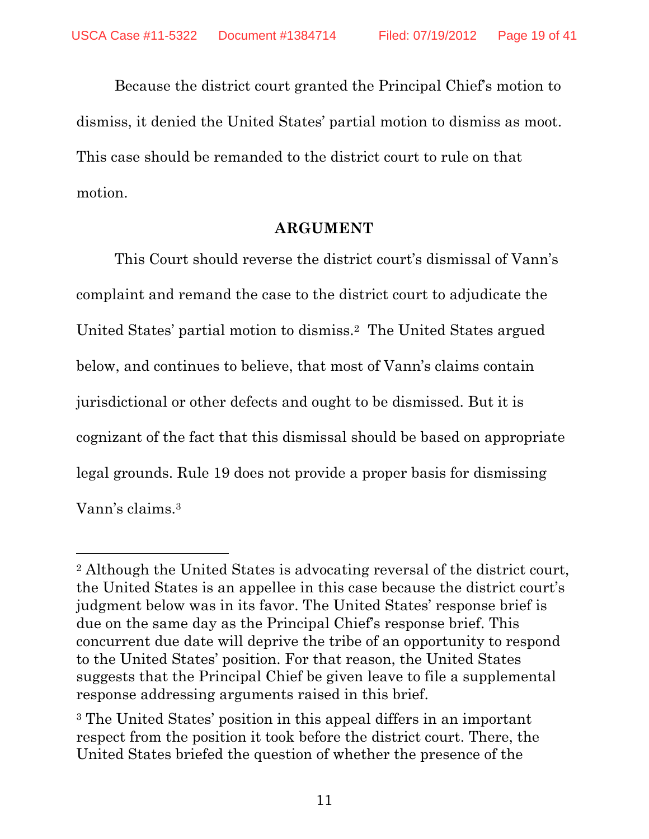Because the district court granted the Principal Chief's motion to dismiss, it denied the United States' partial motion to dismiss as moot. This case should be remanded to the district court to rule on that motion.

#### **ARGUMENT**

This Court should reverse the district court's dismissal of Vann's complaint and remand the case to the district court to adjudicate the United States' partial motion to dismiss.2 The United States argued below, and continues to believe, that most of Vann's claims contain jurisdictional or other defects and ought to be dismissed. But it is cognizant of the fact that this dismissal should be based on appropriate legal grounds. Rule 19 does not provide a proper basis for dismissing Vann's claims.3

 $\overline{a}$ 

<sup>2</sup> Although the United States is advocating reversal of the district court, the United States is an appellee in this case because the district court's judgment below was in its favor. The United States' response brief is due on the same day as the Principal Chief's response brief. This concurrent due date will deprive the tribe of an opportunity to respond to the United States' position. For that reason, the United States suggests that the Principal Chief be given leave to file a supplemental response addressing arguments raised in this brief.

<sup>3</sup> The United States' position in this appeal differs in an important respect from the position it took before the district court. There, the United States briefed the question of whether the presence of the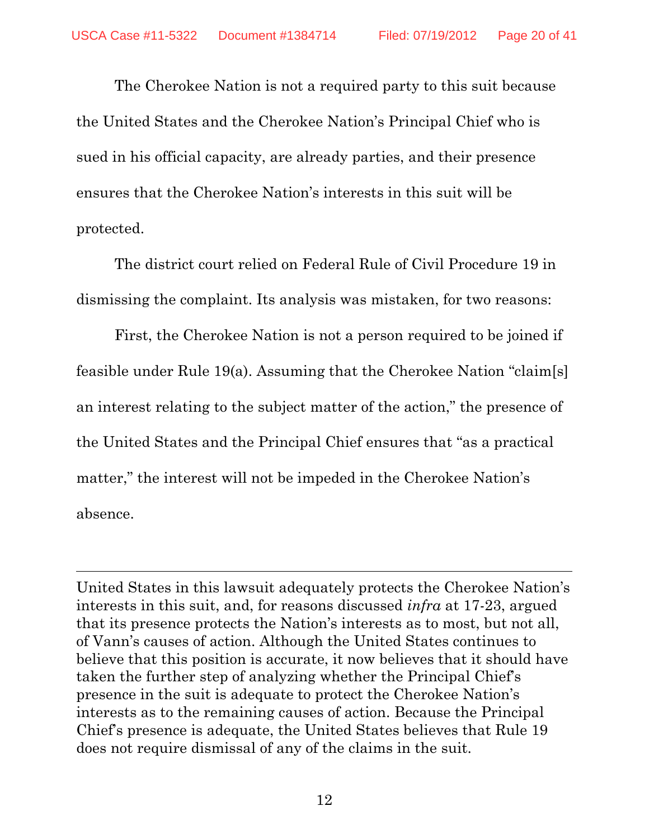The Cherokee Nation is not a required party to this suit because the United States and the Cherokee Nation's Principal Chief who is sued in his official capacity, are already parties, and their presence ensures that the Cherokee Nation's interests in this suit will be protected.

The district court relied on Federal Rule of Civil Procedure 19 in dismissing the complaint. Its analysis was mistaken, for two reasons:

First, the Cherokee Nation is not a person required to be joined if feasible under Rule 19(a). Assuming that the Cherokee Nation "claim[s] an interest relating to the subject matter of the action," the presence of the United States and the Principal Chief ensures that "as a practical matter," the interest will not be impeded in the Cherokee Nation's absence.

United States in this lawsuit adequately protects the Cherokee Nation's interests in this suit, and, for reasons discussed *infra* at 17-23, argued that its presence protects the Nation's interests as to most, but not all, of Vann's causes of action. Although the United States continues to believe that this position is accurate, it now believes that it should have taken the further step of analyzing whether the Principal Chief's presence in the suit is adequate to protect the Cherokee Nation's interests as to the remaining causes of action. Because the Principal Chief's presence is adequate, the United States believes that Rule 19 does not require dismissal of any of the claims in the suit.

l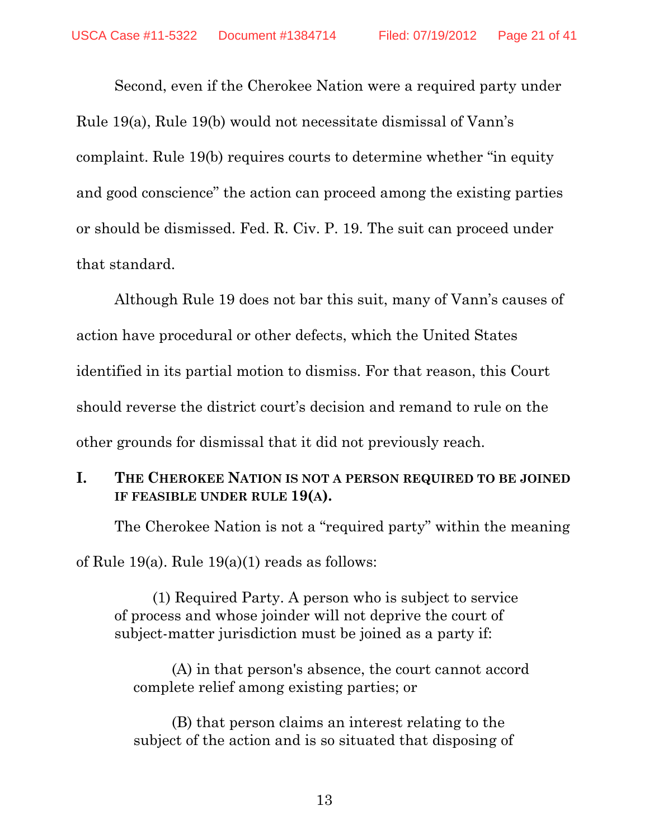Second, even if the Cherokee Nation were a required party under Rule 19(a), Rule 19(b) would not necessitate dismissal of Vann's complaint. Rule 19(b) requires courts to determine whether "in equity and good conscience" the action can proceed among the existing parties or should be dismissed. Fed. R. Civ. P. 19. The suit can proceed under that standard.

 Although Rule 19 does not bar this suit, many of Vann's causes of action have procedural or other defects, which the United States identified in its partial motion to dismiss. For that reason, this Court should reverse the district court's decision and remand to rule on the other grounds for dismissal that it did not previously reach.

## **I. THE CHEROKEE NATION IS NOT A PERSON REQUIRED TO BE JOINED IF FEASIBLE UNDER RULE 19(A).**

The Cherokee Nation is not a "required party" within the meaning

of Rule 19(a). Rule 19(a)(1) reads as follows:

(1) Required Party. A person who is subject to service of process and whose joinder will not deprive the court of subject-matter jurisdiction must be joined as a party if:

(A) in that person's absence, the court cannot accord complete relief among existing parties; or

(B) that person claims an interest relating to the subject of the action and is so situated that disposing of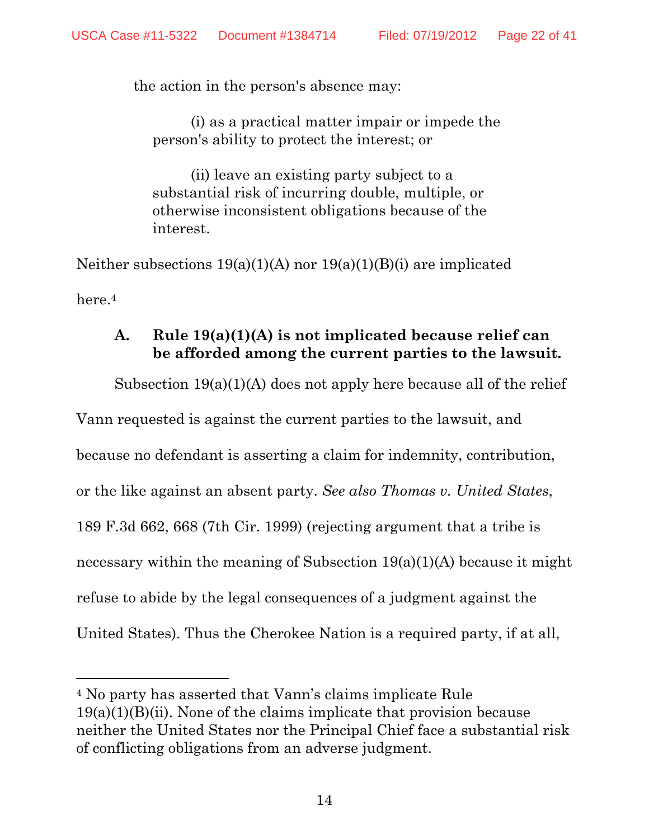the action in the person's absence may:

(i) as a practical matter impair or impede the person's ability to protect the interest; or

(ii) leave an existing party subject to a substantial risk of incurring double, multiple, or otherwise inconsistent obligations because of the interest.

Neither subsections 19(a)(1)(A) nor 19(a)(1)(B)(i) are implicated here.4

### **A. Rule 19(a)(1)(A) is not implicated because relief can be afforded among the current parties to the lawsuit.**

Subsection 19(a)(1)(A) does not apply here because all of the relief

Vann requested is against the current parties to the lawsuit, and because no defendant is asserting a claim for indemnity, contribution, or the like against an absent party. *See also Thomas v. United States*, 189 F.3d 662, 668 (7th Cir. 1999) (rejecting argument that a tribe is necessary within the meaning of Subsection  $19(a)(1)(A)$  because it might refuse to abide by the legal consequences of a judgment against the United States). Thus the Cherokee Nation is a required party, if at all,

 $\overline{a}$ 

<sup>4</sup> No party has asserted that Vann's claims implicate Rule  $19(a)(1)(B)(ii)$ . None of the claims implicate that provision because neither the United States nor the Principal Chief face a substantial risk of conflicting obligations from an adverse judgment.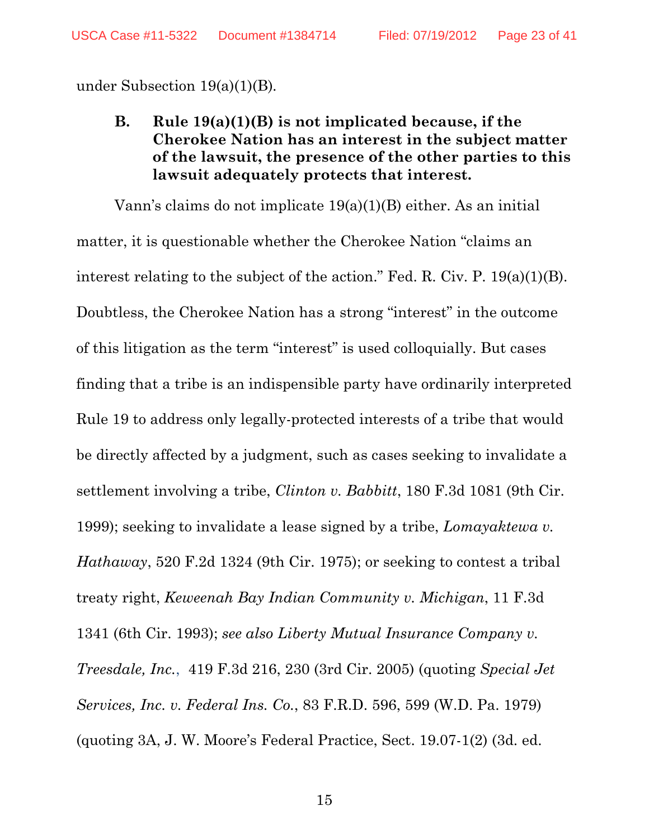under Subsection 19(a)(1)(B)*.* 

**B. Rule 19(a)(1)(B) is not implicated because, if the Cherokee Nation has an interest in the subject matter of the lawsuit, the presence of the other parties to this lawsuit adequately protects that interest.** 

 Vann's claims do not implicate 19(a)(1)(B) either. As an initial matter, it is questionable whether the Cherokee Nation "claims an interest relating to the subject of the action." Fed. R. Civ. P. 19(a)(1)(B). Doubtless, the Cherokee Nation has a strong "interest" in the outcome of this litigation as the term "interest" is used colloquially. But cases finding that a tribe is an indispensible party have ordinarily interpreted Rule 19 to address only legally-protected interests of a tribe that would be directly affected by a judgment, such as cases seeking to invalidate a settlement involving a tribe, *Clinton v. Babbitt*, 180 F.3d 1081 (9th Cir. 1999); seeking to invalidate a lease signed by a tribe, *Lomayaktewa v. Hathaway*, 520 F.2d 1324 (9th Cir. 1975); or seeking to contest a tribal treaty right, *Keweenah Bay Indian Community v. Michigan*, 11 F.3d 1341 (6th Cir. 1993); *see also Liberty Mutual Insurance Company v. Treesdale, Inc.*, 419 F.3d 216, 230 (3rd Cir. 2005) (quoting *Special Jet Services, Inc. v. Federal Ins. Co.*, 83 F.R.D. 596, 599 (W.D. Pa. 1979) (quoting 3A, J. W. Moore's Federal Practice, Sect. 19.07-1(2) (3d. ed.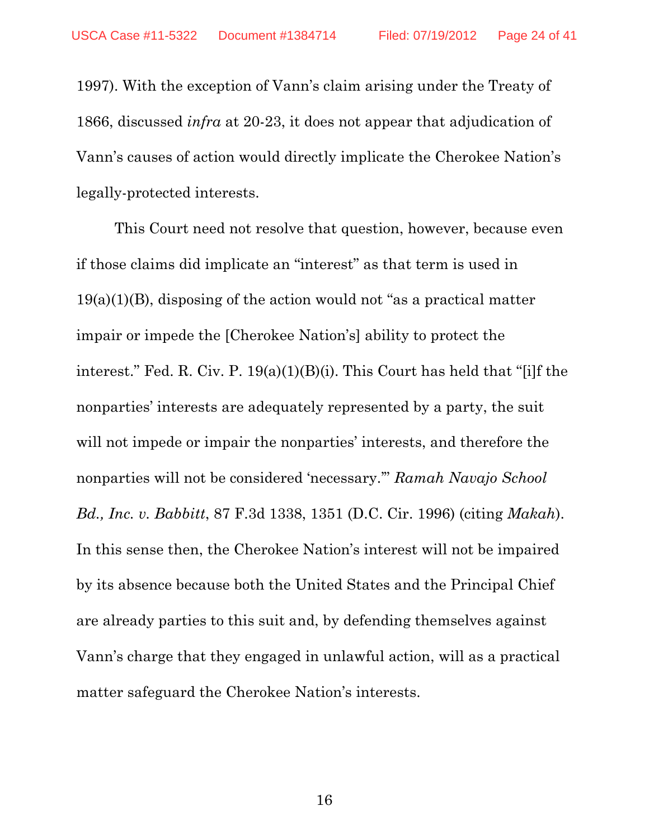1997). With the exception of Vann's claim arising under the Treaty of 1866, discussed *infra* at 20-23, it does not appear that adjudication of Vann's causes of action would directly implicate the Cherokee Nation's legally-protected interests.

 This Court need not resolve that question, however, because even if those claims did implicate an "interest" as that term is used in 19(a)(1)(B), disposing of the action would not "as a practical matter impair or impede the [Cherokee Nation's] ability to protect the interest." Fed. R. Civ. P. 19(a)(1)(B)(i). This Court has held that "[i]f the nonparties' interests are adequately represented by a party, the suit will not impede or impair the nonparties' interests, and therefore the nonparties will not be considered 'necessary.'" *Ramah Navajo School Bd., Inc. v. Babbitt*, 87 F.3d 1338, 1351 (D.C. Cir. 1996) (citing *Makah*). In this sense then, the Cherokee Nation's interest will not be impaired by its absence because both the United States and the Principal Chief are already parties to this suit and, by defending themselves against Vann's charge that they engaged in unlawful action, will as a practical matter safeguard the Cherokee Nation's interests.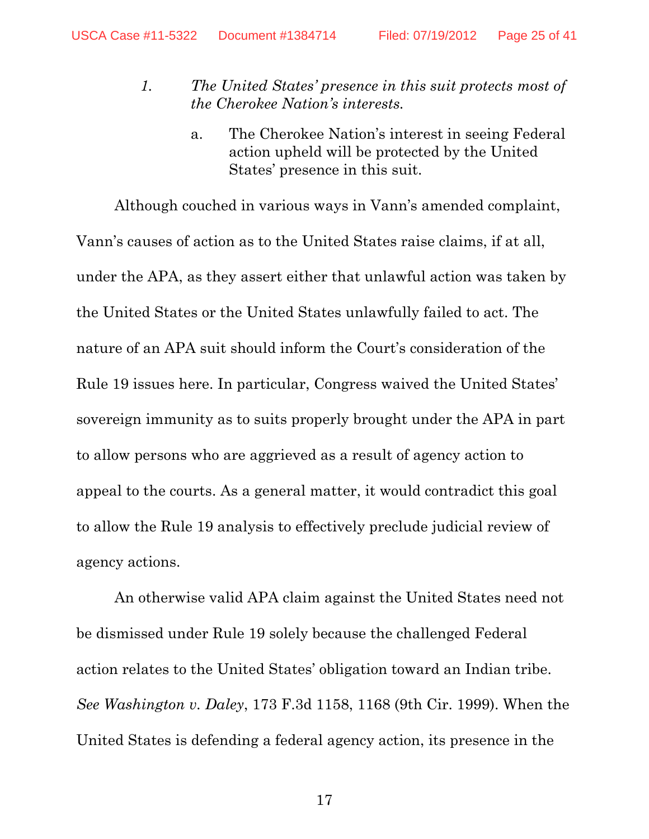- *1. The United States' presence in this suit protects most of the Cherokee Nation's interests.* 
	- a. The Cherokee Nation's interest in seeing Federal action upheld will be protected by the United States' presence in this suit.

Although couched in various ways in Vann's amended complaint, Vann's causes of action as to the United States raise claims, if at all, under the APA, as they assert either that unlawful action was taken by the United States or the United States unlawfully failed to act. The nature of an APA suit should inform the Court's consideration of the Rule 19 issues here. In particular, Congress waived the United States' sovereign immunity as to suits properly brought under the APA in part to allow persons who are aggrieved as a result of agency action to appeal to the courts. As a general matter, it would contradict this goal to allow the Rule 19 analysis to effectively preclude judicial review of agency actions.

An otherwise valid APA claim against the United States need not be dismissed under Rule 19 solely because the challenged Federal action relates to the United States' obligation toward an Indian tribe. *See Washington v. Daley*, 173 F.3d 1158, 1168 (9th Cir. 1999). When the United States is defending a federal agency action, its presence in the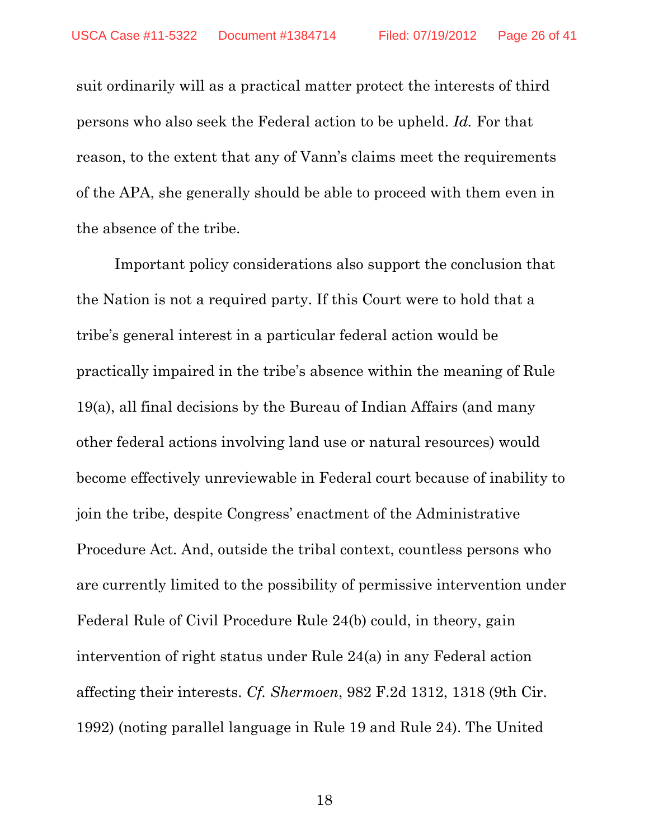suit ordinarily will as a practical matter protect the interests of third persons who also seek the Federal action to be upheld. *Id.* For that reason, to the extent that any of Vann's claims meet the requirements of the APA, she generally should be able to proceed with them even in the absence of the tribe.

Important policy considerations also support the conclusion that the Nation is not a required party. If this Court were to hold that a tribe's general interest in a particular federal action would be practically impaired in the tribe's absence within the meaning of Rule 19(a), all final decisions by the Bureau of Indian Affairs (and many other federal actions involving land use or natural resources) would become effectively unreviewable in Federal court because of inability to join the tribe, despite Congress' enactment of the Administrative Procedure Act. And, outside the tribal context, countless persons who are currently limited to the possibility of permissive intervention under Federal Rule of Civil Procedure Rule 24(b) could, in theory, gain intervention of right status under Rule 24(a) in any Federal action affecting their interests. *Cf. Shermoen*, 982 F.2d 1312, 1318 (9th Cir. 1992) (noting parallel language in Rule 19 and Rule 24). The United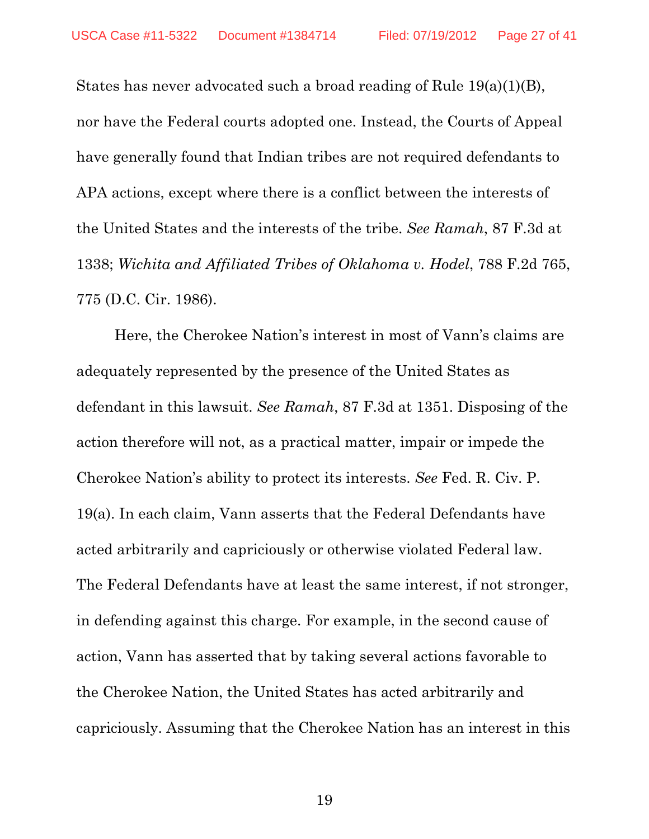States has never advocated such a broad reading of Rule 19(a)(1)(B), nor have the Federal courts adopted one. Instead, the Courts of Appeal have generally found that Indian tribes are not required defendants to APA actions, except where there is a conflict between the interests of the United States and the interests of the tribe. *See Ramah*, 87 F.3d at 1338; *Wichita and Affiliated Tribes of Oklahoma v. Hodel*, 788 F.2d 765, 775 (D.C. Cir. 1986).

Here, the Cherokee Nation's interest in most of Vann's claims are adequately represented by the presence of the United States as defendant in this lawsuit. *See Ramah*, 87 F.3d at 1351. Disposing of the action therefore will not, as a practical matter, impair or impede the Cherokee Nation's ability to protect its interests. *See* Fed. R. Civ. P. 19(a). In each claim, Vann asserts that the Federal Defendants have acted arbitrarily and capriciously or otherwise violated Federal law. The Federal Defendants have at least the same interest, if not stronger, in defending against this charge. For example, in the second cause of action, Vann has asserted that by taking several actions favorable to the Cherokee Nation, the United States has acted arbitrarily and capriciously. Assuming that the Cherokee Nation has an interest in this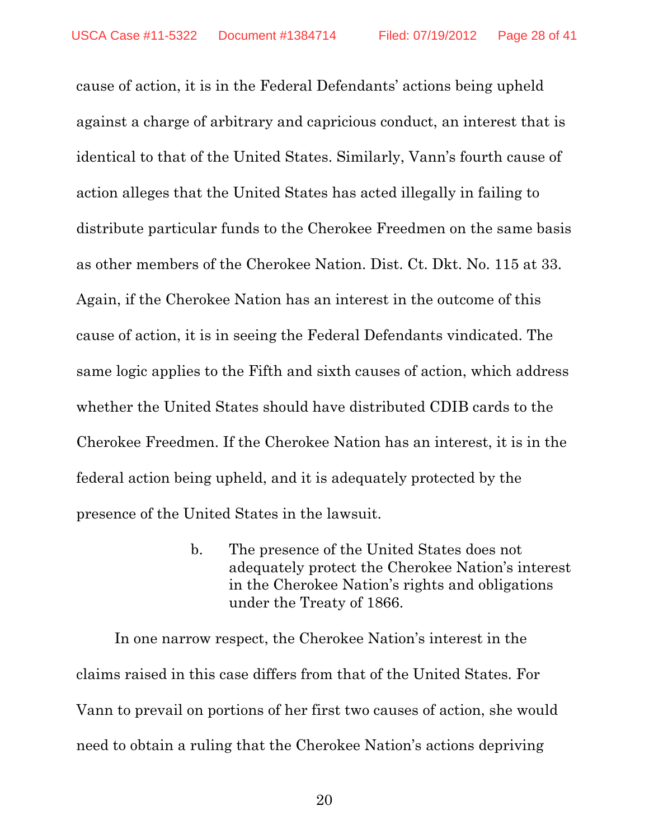cause of action, it is in the Federal Defendants' actions being upheld against a charge of arbitrary and capricious conduct, an interest that is identical to that of the United States. Similarly, Vann's fourth cause of action alleges that the United States has acted illegally in failing to distribute particular funds to the Cherokee Freedmen on the same basis as other members of the Cherokee Nation. Dist. Ct. Dkt. No. 115 at 33. Again, if the Cherokee Nation has an interest in the outcome of this cause of action, it is in seeing the Federal Defendants vindicated. The same logic applies to the Fifth and sixth causes of action, which address whether the United States should have distributed CDIB cards to the Cherokee Freedmen. If the Cherokee Nation has an interest, it is in the federal action being upheld, and it is adequately protected by the presence of the United States in the lawsuit.

> b. The presence of the United States does not adequately protect the Cherokee Nation's interest in the Cherokee Nation's rights and obligations under the Treaty of 1866.

In one narrow respect, the Cherokee Nation's interest in the claims raised in this case differs from that of the United States. For Vann to prevail on portions of her first two causes of action, she would need to obtain a ruling that the Cherokee Nation's actions depriving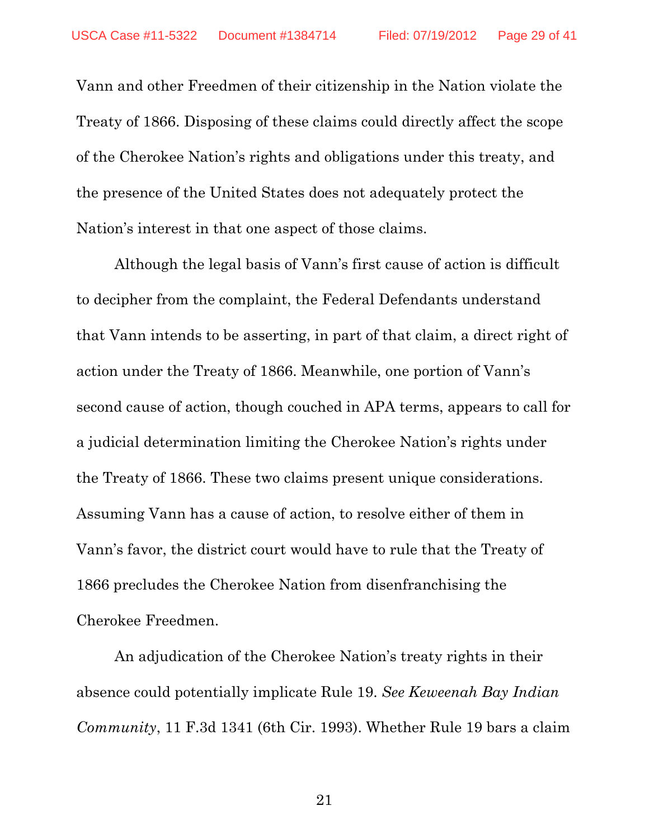Vann and other Freedmen of their citizenship in the Nation violate the Treaty of 1866. Disposing of these claims could directly affect the scope of the Cherokee Nation's rights and obligations under this treaty, and the presence of the United States does not adequately protect the Nation's interest in that one aspect of those claims.

Although the legal basis of Vann's first cause of action is difficult to decipher from the complaint, the Federal Defendants understand that Vann intends to be asserting, in part of that claim, a direct right of action under the Treaty of 1866. Meanwhile, one portion of Vann's second cause of action, though couched in APA terms, appears to call for a judicial determination limiting the Cherokee Nation's rights under the Treaty of 1866. These two claims present unique considerations. Assuming Vann has a cause of action, to resolve either of them in Vann's favor, the district court would have to rule that the Treaty of 1866 precludes the Cherokee Nation from disenfranchising the Cherokee Freedmen.

An adjudication of the Cherokee Nation's treaty rights in their absence could potentially implicate Rule 19. *See Keweenah Bay Indian Community*, 11 F.3d 1341 (6th Cir. 1993). Whether Rule 19 bars a claim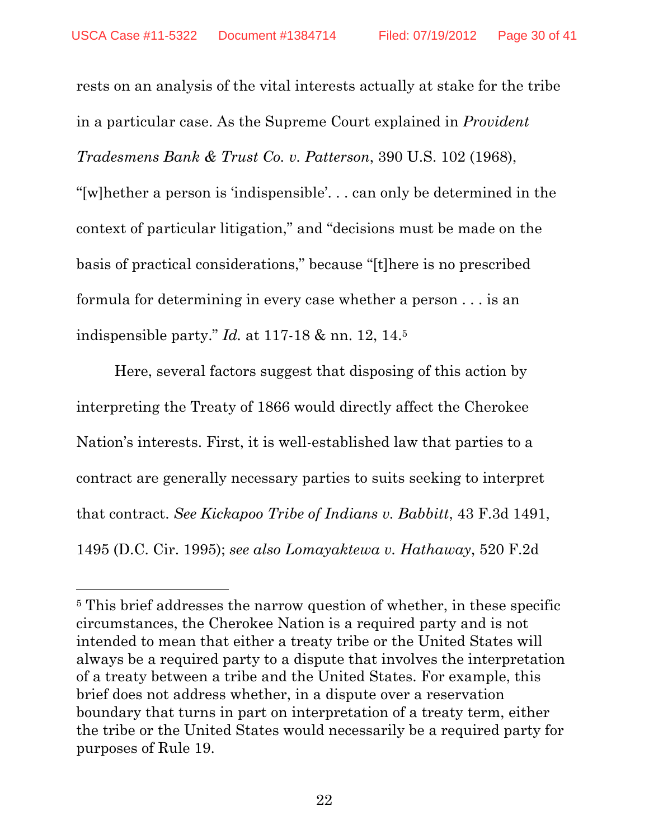rests on an analysis of the vital interests actually at stake for the tribe in a particular case. As the Supreme Court explained in *Provident Tradesmens Bank & Trust Co. v. Patterson*, 390 U.S. 102 (1968), "[w]hether a person is 'indispensible'. . . can only be determined in the context of particular litigation," and "decisions must be made on the basis of practical considerations," because "[t]here is no prescribed formula for determining in every case whether a person . . . is an indispensible party." *Id.* at 117-18 & nn. 12, 14.5

Here, several factors suggest that disposing of this action by interpreting the Treaty of 1866 would directly affect the Cherokee Nation's interests. First, it is well-established law that parties to a contract are generally necessary parties to suits seeking to interpret that contract. *See Kickapoo Tribe of Indians v. Babbitt*, 43 F.3d 1491, 1495 (D.C. Cir. 1995); *see also Lomayaktewa v. Hathaway*, 520 F.2d

-

<sup>5</sup> This brief addresses the narrow question of whether, in these specific circumstances, the Cherokee Nation is a required party and is not intended to mean that either a treaty tribe or the United States will always be a required party to a dispute that involves the interpretation of a treaty between a tribe and the United States. For example, this brief does not address whether, in a dispute over a reservation boundary that turns in part on interpretation of a treaty term, either the tribe or the United States would necessarily be a required party for purposes of Rule 19.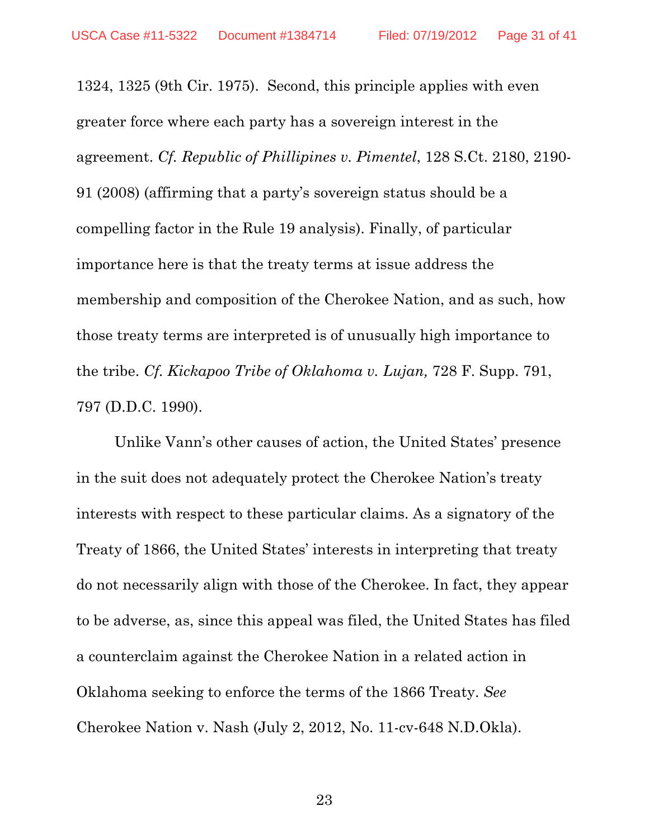1324, 1325 (9th Cir. 1975). Second, this principle applies with even greater force where each party has a sovereign interest in the agreement. *Cf. Republic of Phillipines v. Pimentel*, 128 S.Ct. 2180, 2190- 91 (2008) (affirming that a party's sovereign status should be a compelling factor in the Rule 19 analysis). Finally, of particular importance here is that the treaty terms at issue address the membership and composition of the Cherokee Nation, and as such, how those treaty terms are interpreted is of unusually high importance to the tribe. *Cf. Kickapoo Tribe of Oklahoma v. Lujan,* 728 F. Supp. 791, 797 (D.D.C. 1990).

Unlike Vann's other causes of action, the United States' presence in the suit does not adequately protect the Cherokee Nation's treaty interests with respect to these particular claims. As a signatory of the Treaty of 1866, the United States' interests in interpreting that treaty do not necessarily align with those of the Cherokee. In fact, they appear to be adverse, as, since this appeal was filed, the United States has filed a counterclaim against the Cherokee Nation in a related action in Oklahoma seeking to enforce the terms of the 1866 Treaty. *See*  Cherokee Nation v. Nash (July 2, 2012, No. 11-cv-648 N.D.Okla).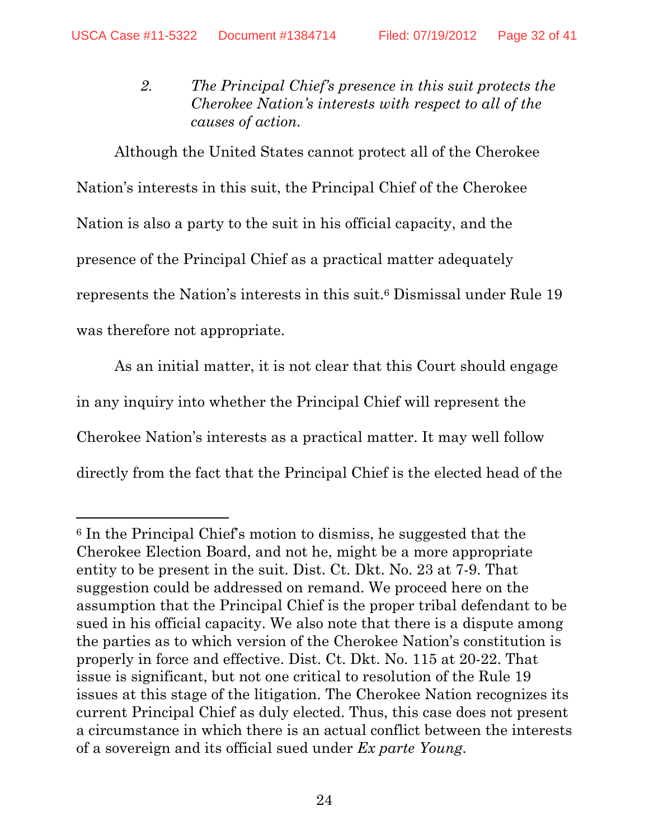$\overline{a}$ 

*2. The Principal Chief's presence in this suit protects the Cherokee Nation's interests with respect to all of the causes of action.* 

Although the United States cannot protect all of the Cherokee Nation's interests in this suit, the Principal Chief of the Cherokee Nation is also a party to the suit in his official capacity, and the presence of the Principal Chief as a practical matter adequately represents the Nation's interests in this suit.6 Dismissal under Rule 19 was therefore not appropriate.

As an initial matter, it is not clear that this Court should engage in any inquiry into whether the Principal Chief will represent the Cherokee Nation's interests as a practical matter. It may well follow directly from the fact that the Principal Chief is the elected head of the

<sup>6</sup> In the Principal Chief's motion to dismiss, he suggested that the Cherokee Election Board, and not he, might be a more appropriate entity to be present in the suit. Dist. Ct. Dkt. No. 23 at 7-9. That suggestion could be addressed on remand. We proceed here on the assumption that the Principal Chief is the proper tribal defendant to be sued in his official capacity. We also note that there is a dispute among the parties as to which version of the Cherokee Nation's constitution is properly in force and effective. Dist. Ct. Dkt. No. 115 at 20-22. That issue is significant, but not one critical to resolution of the Rule 19 issues at this stage of the litigation. The Cherokee Nation recognizes its current Principal Chief as duly elected. Thus, this case does not present a circumstance in which there is an actual conflict between the interests of a sovereign and its official sued under *Ex parte Young*.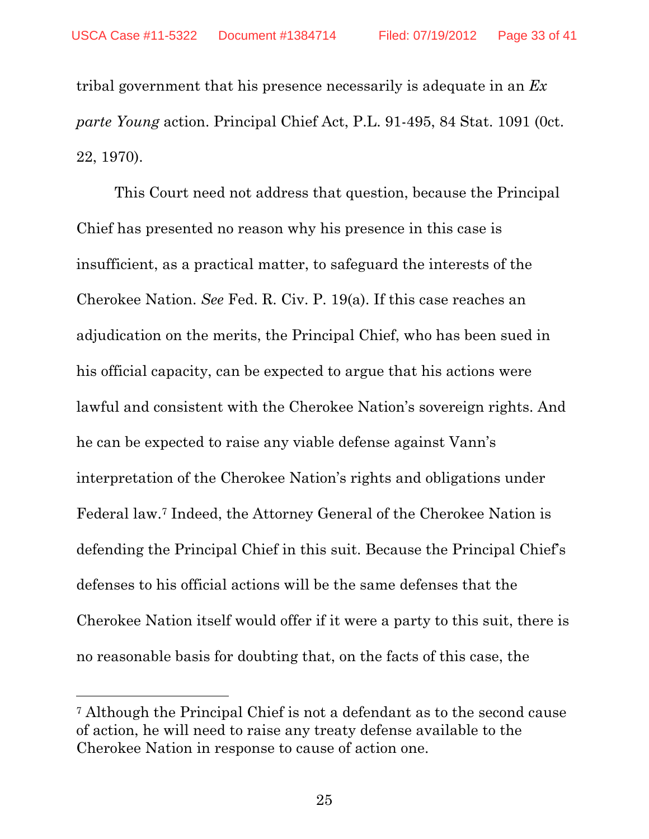tribal government that his presence necessarily is adequate in an *Ex parte Young* action. Principal Chief Act, P.L. 91-495, 84 Stat. 1091 (0ct. 22, 1970).

This Court need not address that question, because the Principal Chief has presented no reason why his presence in this case is insufficient, as a practical matter, to safeguard the interests of the Cherokee Nation. *See* Fed. R. Civ. P. 19(a). If this case reaches an adjudication on the merits, the Principal Chief, who has been sued in his official capacity, can be expected to argue that his actions were lawful and consistent with the Cherokee Nation's sovereign rights. And he can be expected to raise any viable defense against Vann's interpretation of the Cherokee Nation's rights and obligations under Federal law.7 Indeed, the Attorney General of the Cherokee Nation is defending the Principal Chief in this suit. Because the Principal Chief's defenses to his official actions will be the same defenses that the Cherokee Nation itself would offer if it were a party to this suit, there is no reasonable basis for doubting that, on the facts of this case, the

 $\overline{a}$ 

<sup>7</sup> Although the Principal Chief is not a defendant as to the second cause of action, he will need to raise any treaty defense available to the Cherokee Nation in response to cause of action one.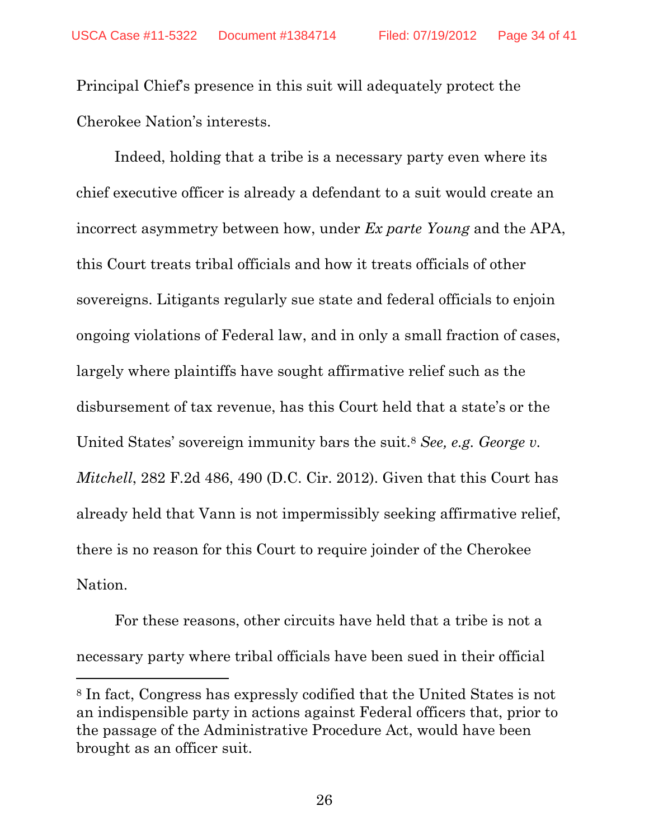Principal Chief's presence in this suit will adequately protect the Cherokee Nation's interests.

Indeed, holding that a tribe is a necessary party even where its chief executive officer is already a defendant to a suit would create an incorrect asymmetry between how, under *Ex parte Young* and the APA, this Court treats tribal officials and how it treats officials of other sovereigns. Litigants regularly sue state and federal officials to enjoin ongoing violations of Federal law, and in only a small fraction of cases, largely where plaintiffs have sought affirmative relief such as the disbursement of tax revenue, has this Court held that a state's or the United States' sovereign immunity bars the suit.8 *See, e.g. George v. Mitchell*, 282 F.2d 486, 490 (D.C. Cir. 2012). Given that this Court has already held that Vann is not impermissibly seeking affirmative relief, there is no reason for this Court to require joinder of the Cherokee Nation.

For these reasons, other circuits have held that a tribe is not a necessary party where tribal officials have been sued in their official

<sup>8</sup> In fact, Congress has expressly codified that the United States is not an indispensible party in actions against Federal officers that, prior to the passage of the Administrative Procedure Act, would have been brought as an officer suit.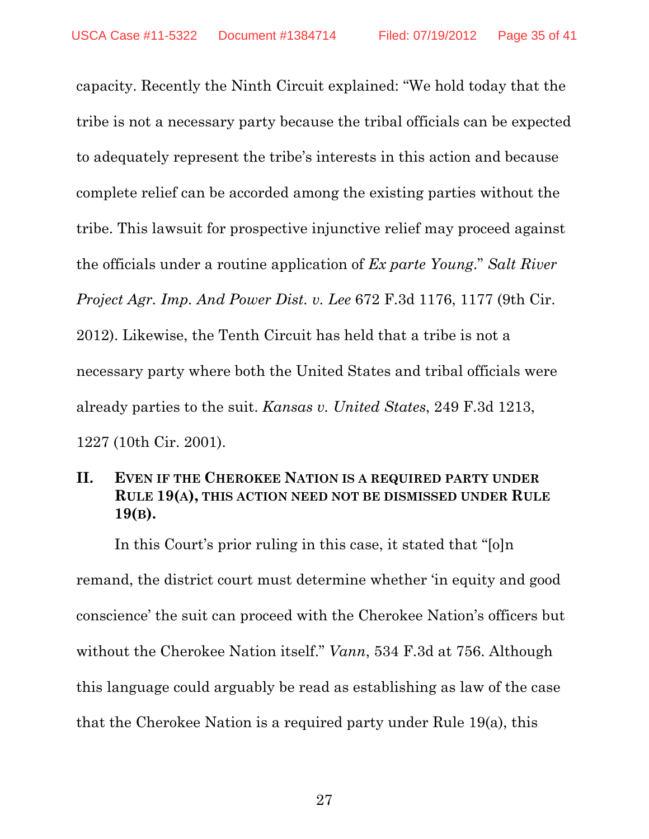capacity. Recently the Ninth Circuit explained: "We hold today that the tribe is not a necessary party because the tribal officials can be expected to adequately represent the tribe's interests in this action and because complete relief can be accorded among the existing parties without the tribe. This lawsuit for prospective injunctive relief may proceed against the officials under a routine application of *Ex parte Young*." *Salt River Project Agr. Imp. And Power Dist. v. Lee* 672 F.3d 1176, 1177 (9th Cir. 2012). Likewise, the Tenth Circuit has held that a tribe is not a necessary party where both the United States and tribal officials were already parties to the suit. *Kansas v. United States*, 249 F.3d 1213, 1227 (10th Cir. 2001).

## **II. EVEN IF THE CHEROKEE NATION IS A REQUIRED PARTY UNDER RULE 19(A), THIS ACTION NEED NOT BE DISMISSED UNDER RULE 19(B).**

In this Court's prior ruling in this case, it stated that "[o]n remand, the district court must determine whether 'in equity and good conscience' the suit can proceed with the Cherokee Nation's officers but without the Cherokee Nation itself." *Vann*, 534 F.3d at 756. Although this language could arguably be read as establishing as law of the case that the Cherokee Nation is a required party under Rule 19(a), this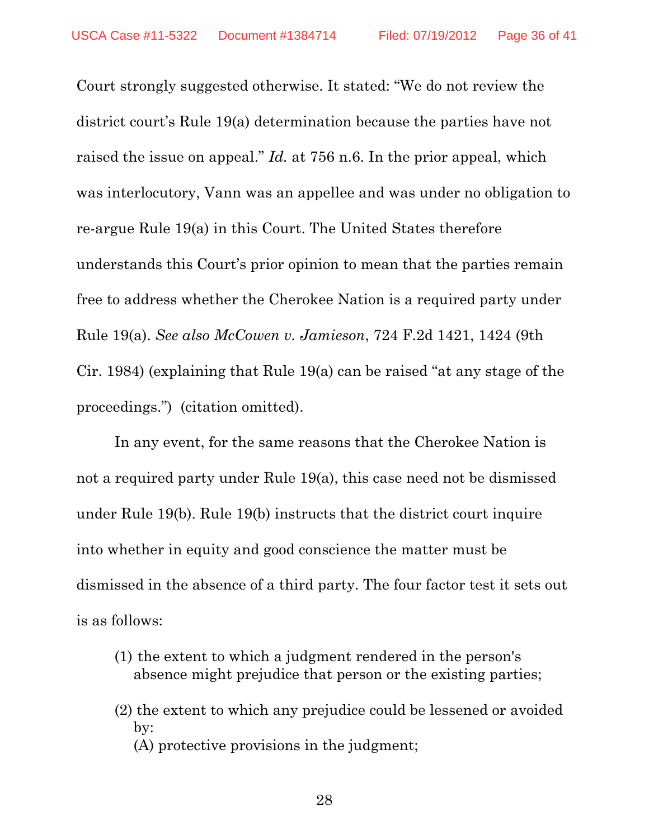Court strongly suggested otherwise. It stated: "We do not review the district court's Rule 19(a) determination because the parties have not raised the issue on appeal." *Id.* at 756 n.6. In the prior appeal, which was interlocutory, Vann was an appellee and was under no obligation to re-argue Rule 19(a) in this Court. The United States therefore understands this Court's prior opinion to mean that the parties remain free to address whether the Cherokee Nation is a required party under Rule 19(a). *See also McCowen v. Jamieson*, 724 F.2d 1421, 1424 (9th Cir. 1984) (explaining that Rule 19(a) can be raised "at any stage of the proceedings.") (citation omitted).

In any event, for the same reasons that the Cherokee Nation is not a required party under Rule 19(a), this case need not be dismissed under Rule 19(b). Rule 19(b) instructs that the district court inquire into whether in equity and good conscience the matter must be dismissed in the absence of a third party. The four factor test it sets out is as follows:

- (1) the extent to which a judgment rendered in the person's absence might prejudice that person or the existing parties;
- (2) the extent to which any prejudice could be lessened or avoided by: (A) protective provisions in the judgment;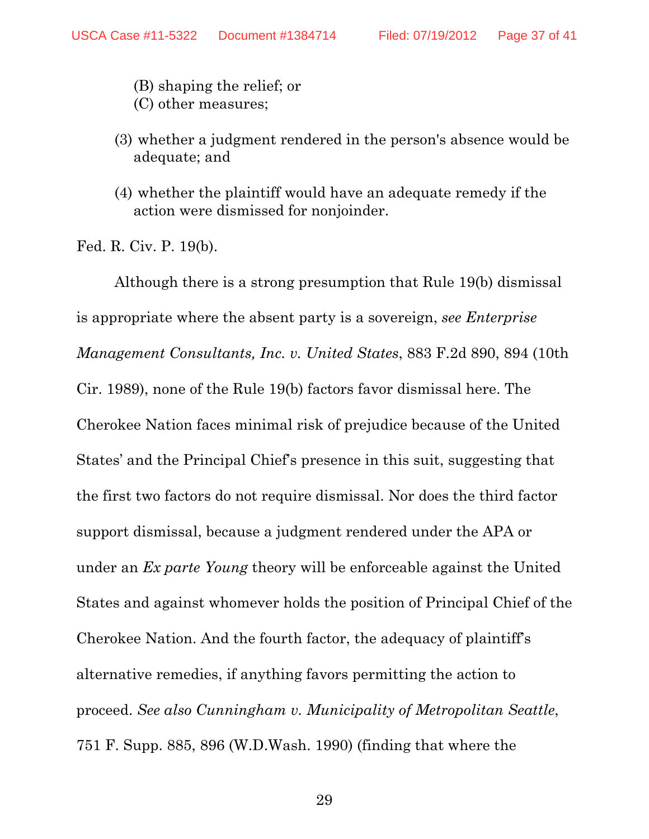(B) shaping the relief; or (C) other measures;

- (3) whether a judgment rendered in the person's absence would be adequate; and
- (4) whether the plaintiff would have an adequate remedy if the action were dismissed for nonjoinder.

Fed. R. Civ. P. 19(b).

 Although there is a strong presumption that Rule 19(b) dismissal is appropriate where the absent party is a sovereign, *see Enterprise Management Consultants, Inc. v. United States*, 883 F.2d 890, 894 (10th Cir. 1989), none of the Rule 19(b) factors favor dismissal here. The Cherokee Nation faces minimal risk of prejudice because of the United States' and the Principal Chief's presence in this suit, suggesting that the first two factors do not require dismissal. Nor does the third factor support dismissal, because a judgment rendered under the APA or under an *Ex parte Young* theory will be enforceable against the United States and against whomever holds the position of Principal Chief of the Cherokee Nation. And the fourth factor, the adequacy of plaintiff's alternative remedies, if anything favors permitting the action to proceed. *See also Cunningham v. Municipality of Metropolitan Seattle*, 751 F. Supp. 885, 896 (W.D.Wash. 1990) (finding that where the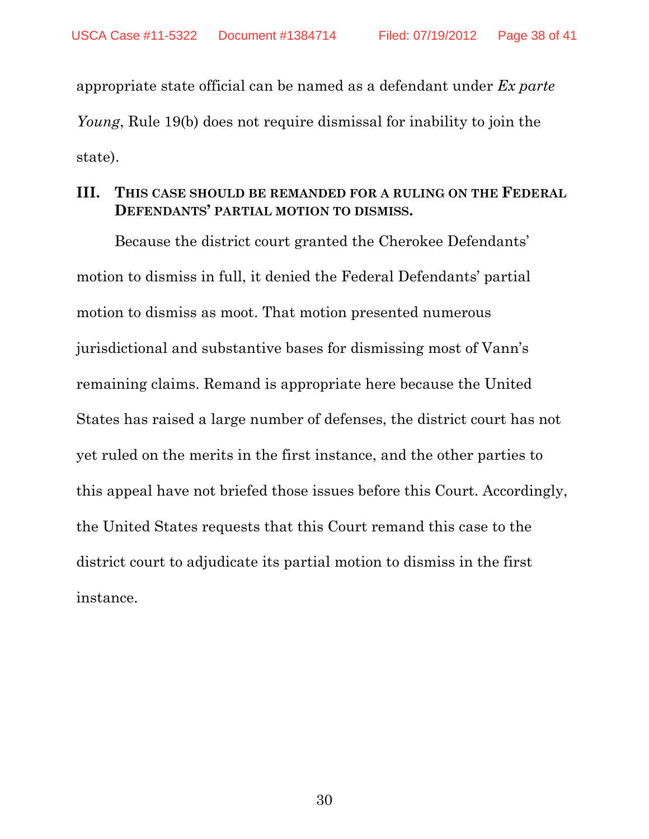appropriate state official can be named as a defendant under *Ex parte Young*, Rule 19(b) does not require dismissal for inability to join the state).

## **III. THIS CASE SHOULD BE REMANDED FOR A RULING ON THE FEDERAL DEFENDANTS' PARTIAL MOTION TO DISMISS.**

Because the district court granted the Cherokee Defendants' motion to dismiss in full, it denied the Federal Defendants' partial motion to dismiss as moot. That motion presented numerous jurisdictional and substantive bases for dismissing most of Vann's remaining claims. Remand is appropriate here because the United States has raised a large number of defenses, the district court has not yet ruled on the merits in the first instance, and the other parties to this appeal have not briefed those issues before this Court. Accordingly, the United States requests that this Court remand this case to the district court to adjudicate its partial motion to dismiss in the first instance.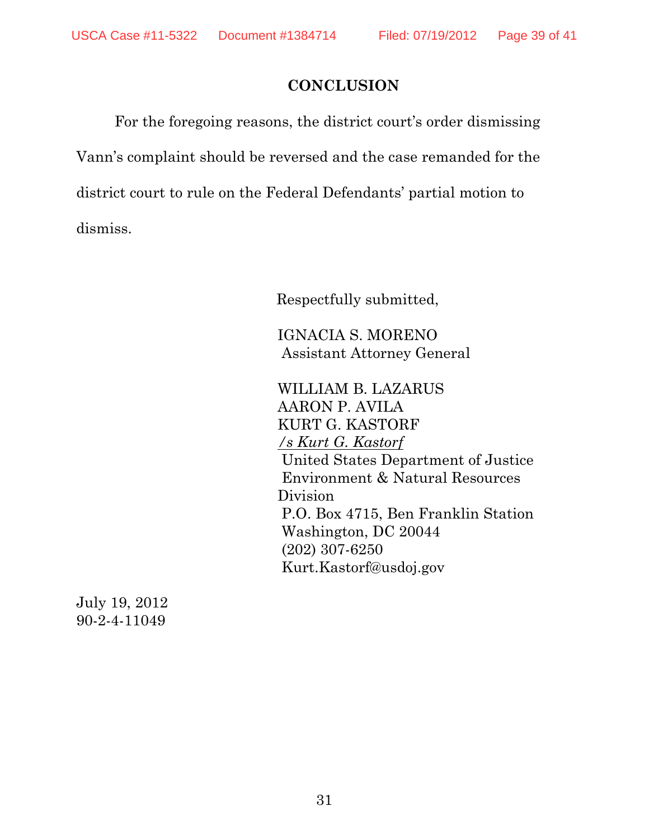## **CONCLUSION**

For the foregoing reasons, the district court's order dismissing Vann's complaint should be reversed and the case remanded for the district court to rule on the Federal Defendants' partial motion to dismiss.

Respectfully submitted,

 IGNACIA S. MORENO Assistant Attorney General

WILLIAM B. LAZARUS AARON P. AVILA KURT G. KASTORF */s Kurt G. Kastorf* United States Department of Justice Environment & Natural Resources Division P.O. Box 4715, Ben Franklin Station Washington, DC 20044 (202) 307-6250 Kurt.Kastorf@usdoj.gov

July 19, 2012 90-2-4-11049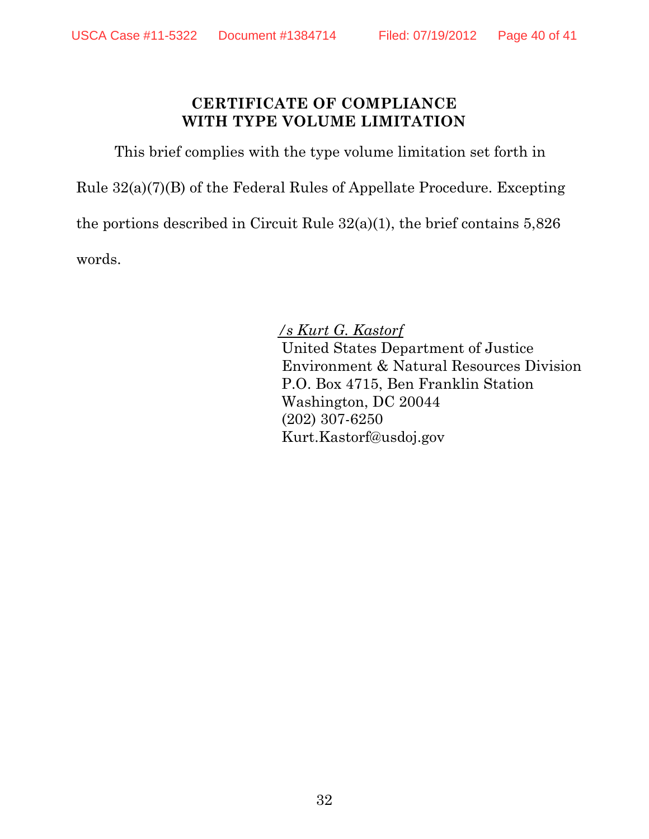### **CERTIFICATE OF COMPLIANCE WITH TYPE VOLUME LIMITATION**

This brief complies with the type volume limitation set forth in

Rule 32(a)(7)(B) of the Federal Rules of Appellate Procedure. Excepting

the portions described in Circuit Rule 32(a)(1), the brief contains 5,826

words.

*/s Kurt G. Kastorf* United States Department of Justice Environment & Natural Resources Division P.O. Box 4715, Ben Franklin Station Washington, DC 20044 (202) 307-6250 Kurt.Kastorf@usdoj.gov